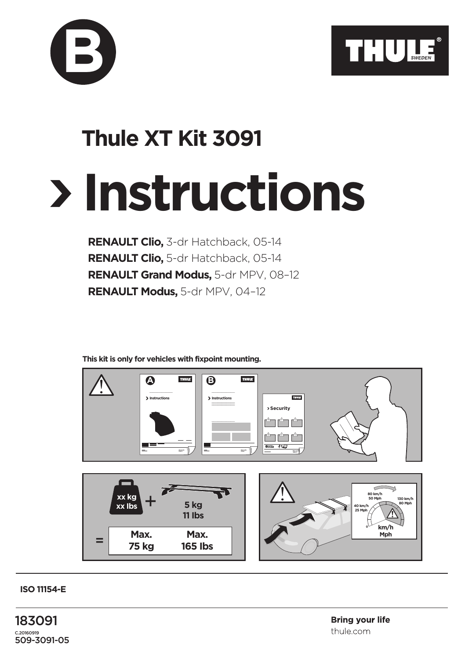

## **Instructions Thule XT Kit 3091**

**RENAULT Clio,** 3-dr Hatchback, 05-14 **RENAULT Clio,** 5-dr Hatchback, 05-14 **RENAULT Grand Modus,** 5-dr MPV, 08–12 **RENAULT Modus,** 5-dr MPV, 04–12

**This kit is only for vehicles with fixpoint mounting.**



**ISO 11154-E**

**B**

183091 C.20160919 509-3091-05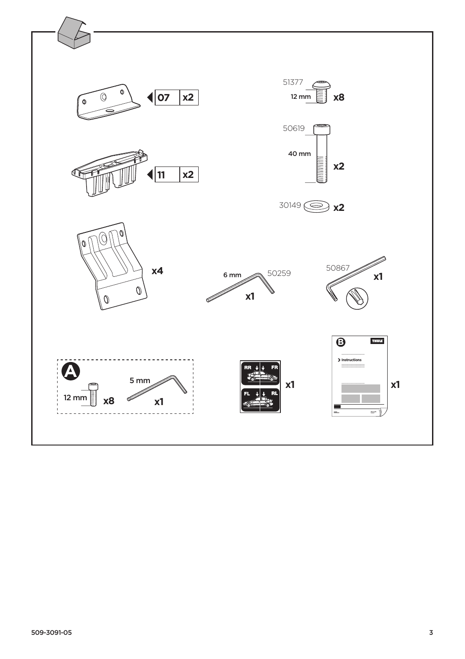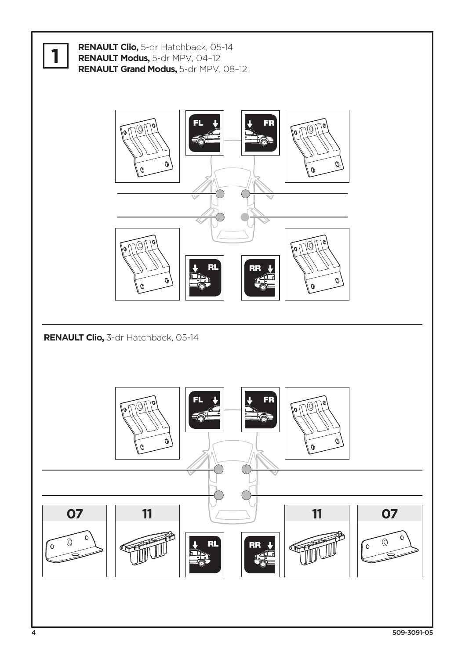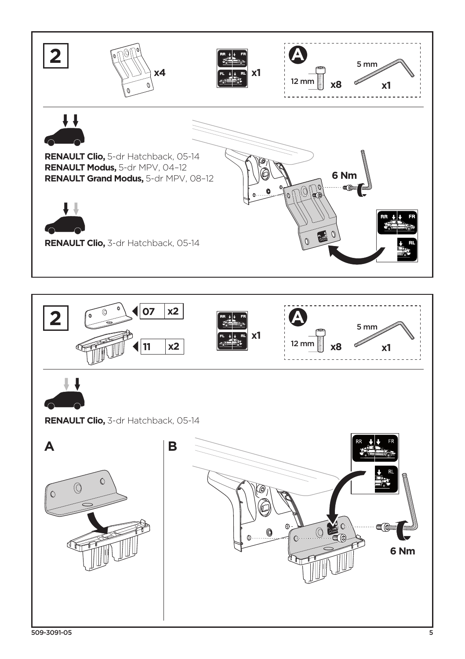

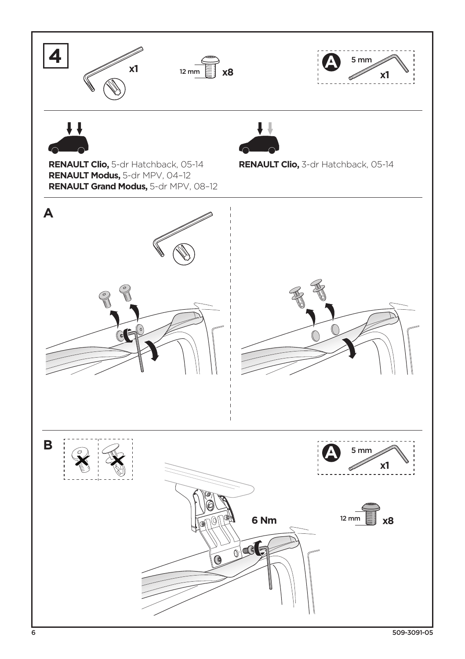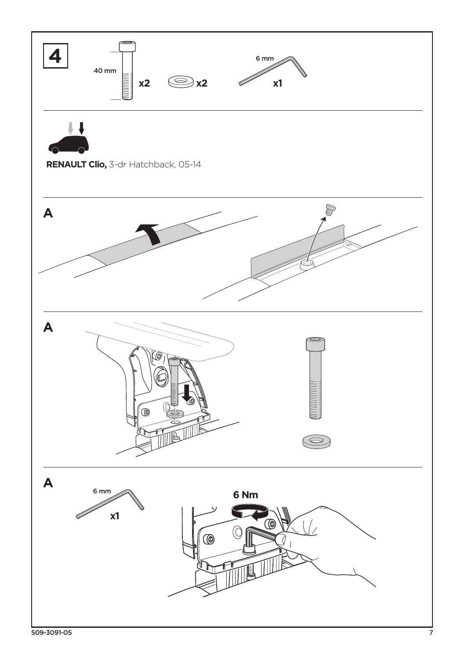